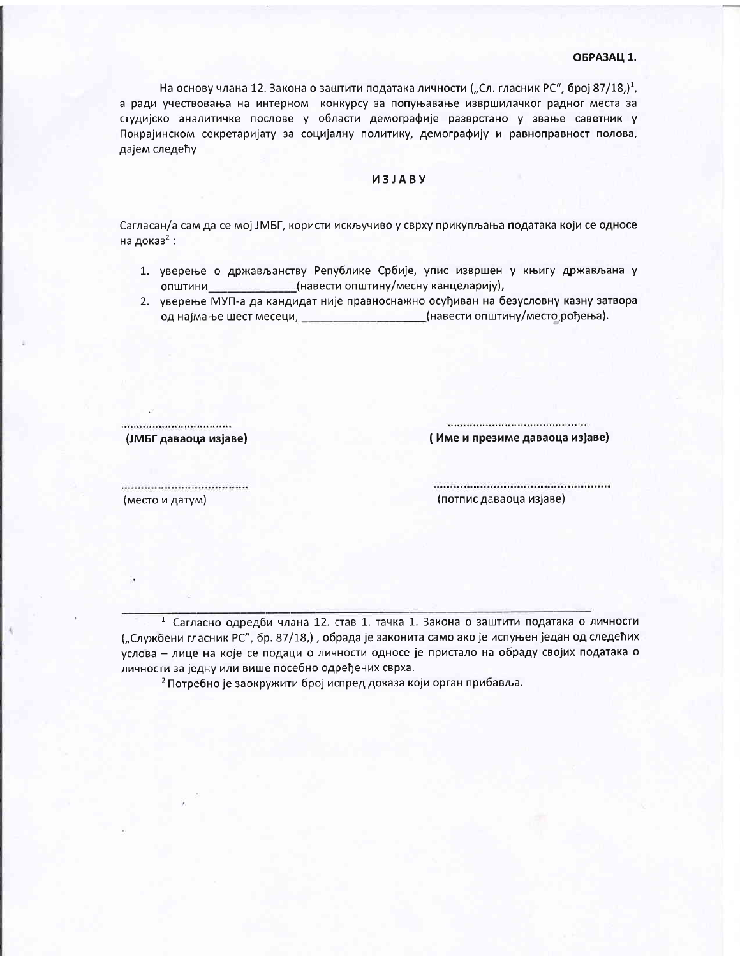#### ОБРАЗАЦ 1.

На основу члана 12. Закона о заштити података личности ("Сл. гласник РС", број 87/18,)<sup>1</sup>, а ради учествовања на интерном конкурсу за попуњавање извршилачког радног места за студијско аналитичке послове у области демографије разврстано у звање саветник у Покрајинском секретаријату за социјалну политику, демографију и равноправност полова, дајем следећу

### *U3JABY*

Сагласан/а сам да се мој ЈМБГ, користи искључиво у сврху прикупљања података који се односе на доказ<sup>2</sup>:

- 1. уверење о држављанству Републике Србије, упис извршен у књигу држављана у општини (навести општину/месну канцеларију),
- 2. уверење МУП-а да кандидат није правноснажно осуђиван на безусловну казну затвора од најмање шест месеци, и последа и традици (навести општину/место рођења).

.................................... (ЈМБГ даваоца изјаве)

(Име и презиме даваоца изјаве)

..................................... (место и датум)

(потпис даваоца изјаве)

<sup>1</sup> Сагласно одредби члана 12. став 1. тачка 1. Закона о заштити података о личности ("Службени гласник РС", бр. 87/18,), обрада је законита само ако је испуњен један од следећих услова - лице на које се подаци о личности односе је пристало на обраду својих података о личности за једну или више посебно одређених сврха.

2 Потребно је заокружити број испред доказа који орган прибавља.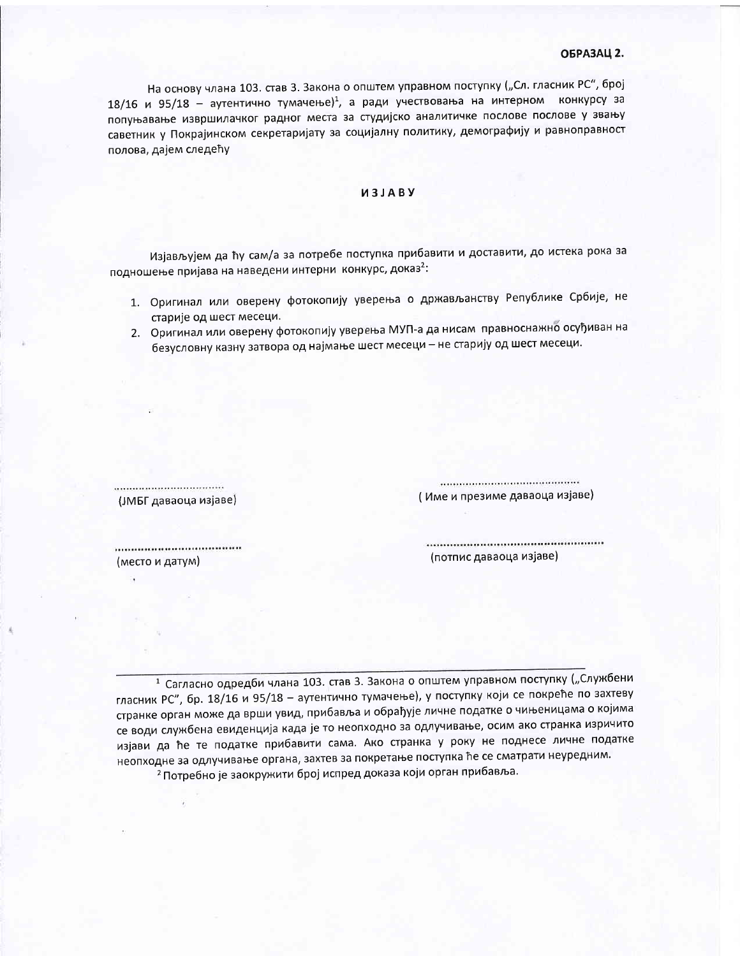## ОБРАЗАЦ 2.

На основу члана 103. став 3. Закона о општем управном поступку ("Сл. гласник РС", број 18/16 и 95/18 - аутентично тумачење)<sup>1</sup>, а ради учествовања на интерном конкурсу за попуњавање извршилачког радног места за студијско аналитичке послове послове у звању саветник у Покрајинском секретаријату за социјалну политику, демографију и равноправност полова, дајем следећу

### *<u>UBJABY</u>*

Изјављујем да ћу сам/а за потребе поступка прибавити и доставити, до истека рока за подношење пријава на наведени интерни конкурс, доказ<sup>2</sup>:

- 1. Оригинал или оверену фотокопију уверења о држављанству Републике Србије, не старије од шест месеци.
- 2. Оригинал или оверену фотокопију уверења МУП-а да нисам правноснажно осуђиван на безусловну казну затвора од најмање шест месеци - не старију од шест месеци.

(ЈМБГ даваоца изјаве)

(Име и презиме даваоца изјаве)

.................................... (место и датум)

(потпис даваоца изјаве)

<sup>1</sup> Сагласно одредби члана 103. став 3. Закона о општем управном поступку ("Службени гласник РС", бр. 18/16 и 95/18 - аутентично тумачење), у поступку који се покреће по захтеву странке орган може да врши увид, прибавља и обрађује личне податке о чињеницама о којима се води службена евиденција када је то неопходно за одлучивање, осим ако странка изричито изјави да ће те податке прибавити сама. Ако странка у року не поднесе личне податке неопходне за одлучивање органа, захтев за покретање поступка ће се сматрати неуредним. 2 Потребно је заокружити број испред доказа који орган прибавља.